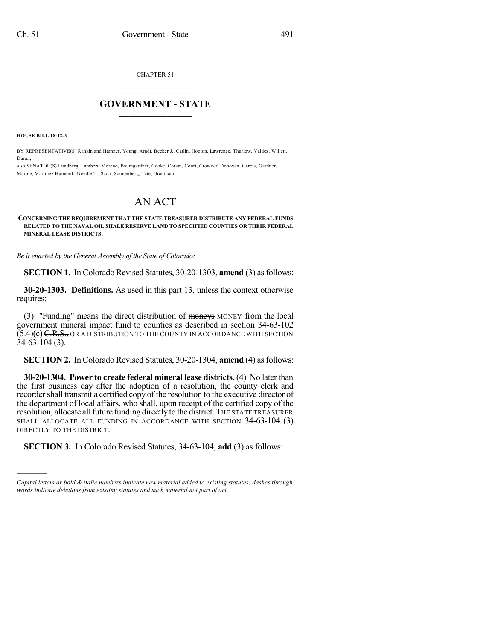CHAPTER 51

## $\mathcal{L}_\text{max}$  . The set of the set of the set of the set of the set of the set of the set of the set of the set of the set of the set of the set of the set of the set of the set of the set of the set of the set of the set **GOVERNMENT - STATE**  $\_$   $\_$   $\_$   $\_$   $\_$   $\_$   $\_$   $\_$   $\_$

**HOUSE BILL 18-1249**

)))))

BY REPRESENTATIVE(S) Rankin and Hamner, Young, Arndt, Becker J., Catlin, Hooton, Lawrence, Thurlow, Valdez, Willett, Duran;

also SENATOR(S) Lundberg, Lambert, Moreno, Baumgardner, Cooke, Coram, Court, Crowder, Donovan, Garcia, Gardner, Marble, Martinez Humenik, Neville T., Scott, Sonnenberg, Tate, Grantham.

## AN ACT

## **CONCERNING THE REQUIREMENT THAT THE STATE TREASURER DISTRIBUTE ANY FEDERAL FUNDS RELATED TO THE NAVAL OIL SHALE RESERVE LAND TO SPECIFIED COUNTIES OR THEIR FEDERAL MINERAL LEASE DISTRICTS.**

*Be it enacted by the General Assembly of the State of Colorado:*

**SECTION 1.** In Colorado Revised Statutes, 30-20-1303, **amend** (3) as follows:

**30-20-1303. Definitions.** As used in this part 13, unless the context otherwise requires:

(3) "Funding" means the direct distribution of moneys MONEY from the local government mineral impact fund to counties as described in section 34-63-102  $(5.4)(c)$  C.R.S., OR A DISTRIBUTION TO THE COUNTY IN ACCORDANCE WITH SECTION 34-63-104 (3).

**SECTION 2.** InColorado Revised Statutes, 30-20-1304, **amend** (4) asfollows:

**30-20-1304. Power to create federal mineral lease districts.** (4) No later than the first business day after the adoption of a resolution, the county clerk and recorder shall transmit a certified copy of the resolution to the executive director of the department of local affairs, who shall, upon receipt of the certified copy of the resolution, allocate all future funding directly to the district. THE STATE TREASURER SHALL ALLOCATE ALL FUNDING IN ACCORDANCE WITH SECTION 34-63-104 (3) DIRECTLY TO THE DISTRICT.

**SECTION 3.** In Colorado Revised Statutes, 34-63-104, **add** (3) as follows:

*Capital letters or bold & italic numbers indicate new material added to existing statutes; dashes through words indicate deletions from existing statutes and such material not part of act.*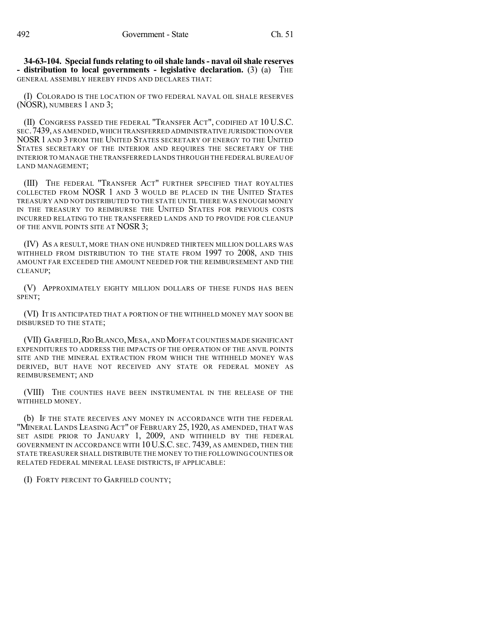**34-63-104. Special funds relating to oilshale lands- naval oilshale reserves - distribution to local governments - legislative declaration.** (3) (a) THE GENERAL ASSEMBLY HEREBY FINDS AND DECLARES THAT:

(I) COLORADO IS THE LOCATION OF TWO FEDERAL NAVAL OIL SHALE RESERVES (NOSR), NUMBERS 1 AND 3;

(II) CONGRESS PASSED THE FEDERAL "TRANSFER ACT", CODIFIED AT 10 U.S.C. SEC.7439,AS AMENDED,WHICH TRANSFERRED ADMINISTRATIVE JURISDICTION OVER NOSR1 AND 3 FROM THE UNITED STATES SECRETARY OF ENERGY TO THE UNITED STATES SECRETARY OF THE INTERIOR AND REQUIRES THE SECRETARY OF THE INTERIOR TO MANAGE THE TRANSFERRED LANDS THROUGH THE FEDERAL BUREAU OF LAND MANAGEMENT;

(III) THE FEDERAL "TRANSFER ACT" FURTHER SPECIFIED THAT ROYALTIES COLLECTED FROM NOSR 1 AND 3 WOULD BE PLACED IN THE UNITED STATES TREASURY AND NOT DISTRIBUTED TO THE STATE UNTIL THERE WAS ENOUGH MONEY IN THE TREASURY TO REIMBURSE THE UNITED STATES FOR PREVIOUS COSTS INCURRED RELATING TO THE TRANSFERRED LANDS AND TO PROVIDE FOR CLEANUP OF THE ANVIL POINTS SITE AT NOSR 3;

(IV) AS A RESULT, MORE THAN ONE HUNDRED THIRTEEN MILLION DOLLARS WAS WITHHELD FROM DISTRIBUTION TO THE STATE FROM 1997 TO 2008, AND THIS AMOUNT FAR EXCEEDED THE AMOUNT NEEDED FOR THE REIMBURSEMENT AND THE CLEANUP;

(V) APPROXIMATELY EIGHTY MILLION DOLLARS OF THESE FUNDS HAS BEEN SPENT;

(VI) IT IS ANTICIPATED THAT A PORTION OF THE WITHHELD MONEY MAY SOON BE DISBURSED TO THE STATE;

(VII) GARFIELD,RIO BLANCO,MESA,ANDMOFFAT COUNTIES MADE SIGNIFICANT EXPENDITURES TO ADDRESS THE IMPACTS OF THE OPERATION OF THE ANVIL POINTS SITE AND THE MINERAL EXTRACTION FROM WHICH THE WITHHELD MONEY WAS DERIVED, BUT HAVE NOT RECEIVED ANY STATE OR FEDERAL MONEY AS REIMBURSEMENT; AND

(VIII) THE COUNTIES HAVE BEEN INSTRUMENTAL IN THE RELEASE OF THE WITHHELD MONEY.

(b) IF THE STATE RECEIVES ANY MONEY IN ACCORDANCE WITH THE FEDERAL "MINERAL LANDS LEASING ACT" OF FEBRUARY 25, 1920, AS AMENDED, THAT WAS SET ASIDE PRIOR TO JANUARY 1, 2009, AND WITHHELD BY THE FEDERAL GOVERNMENT IN ACCORDANCE WITH 10 U.S.C. SEC. 7439, AS AMENDED, THEN THE STATE TREASURER SHALL DISTRIBUTE THE MONEY TO THE FOLLOWING COUNTIES OR RELATED FEDERAL MINERAL LEASE DISTRICTS, IF APPLICABLE:

(I) FORTY PERCENT TO GARFIELD COUNTY;